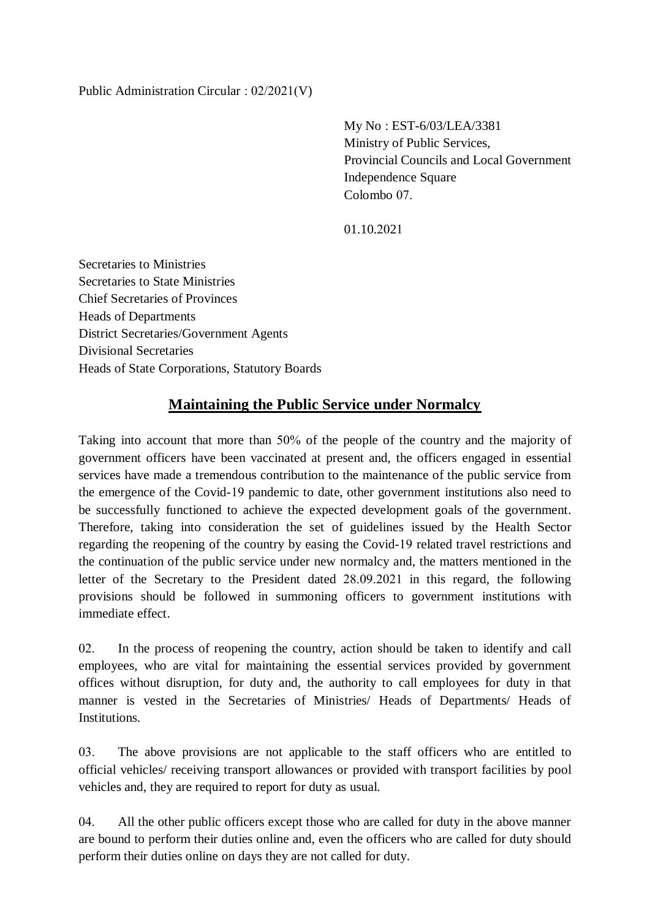Public Administration Circular : 02/2021(V)

My No : EST-6/03/LEA/3381 Ministry of Public Services, Provincial Councils and Local Government Independence Square Colombo 07.

01.10.2021

Secretaries to Ministries Secretaries to State Ministries Chief Secretaries of Provinces Heads of Departments District Secretaries/Government Agents Divisional Secretaries Heads of State Corporations, Statutory Boards

## **Maintaining the Public Service under Normalcy**

Taking into account that more than 50% of the people of the country and the majority of government officers have been vaccinated at present and, the officers engaged in essential services have made a tremendous contribution to the maintenance of the public service from the emergence of the Covid-19 pandemic to date, other government institutions also need to be successfully functioned to achieve the expected development goals of the government. Therefore, taking into consideration the set of guidelines issued by the Health Sector regarding the reopening of the country by easing the Covid-19 related travel restrictions and the continuation of the public service under new normalcy and, the matters mentioned in the letter of the Secretary to the President dated 28.09.2021 in this regard, the following provisions should be followed in summoning officers to government institutions with immediate effect.

02. In the process of reopening the country, action should be taken to identify and call employees, who are vital for maintaining the essential services provided by government offices without disruption, for duty and, the authority to call employees for duty in that manner is vested in the Secretaries of Ministries/ Heads of Departments/ Heads of Institutions.

03. The above provisions are not applicable to the staff officers who are entitled to official vehicles/ receiving transport allowances or provided with transport facilities by pool vehicles and, they are required to report for duty as usual.

04. All the other public officers except those who are called for duty in the above manner are bound to perform their duties online and, even the officers who are called for duty should perform their duties online on days they are not called for duty.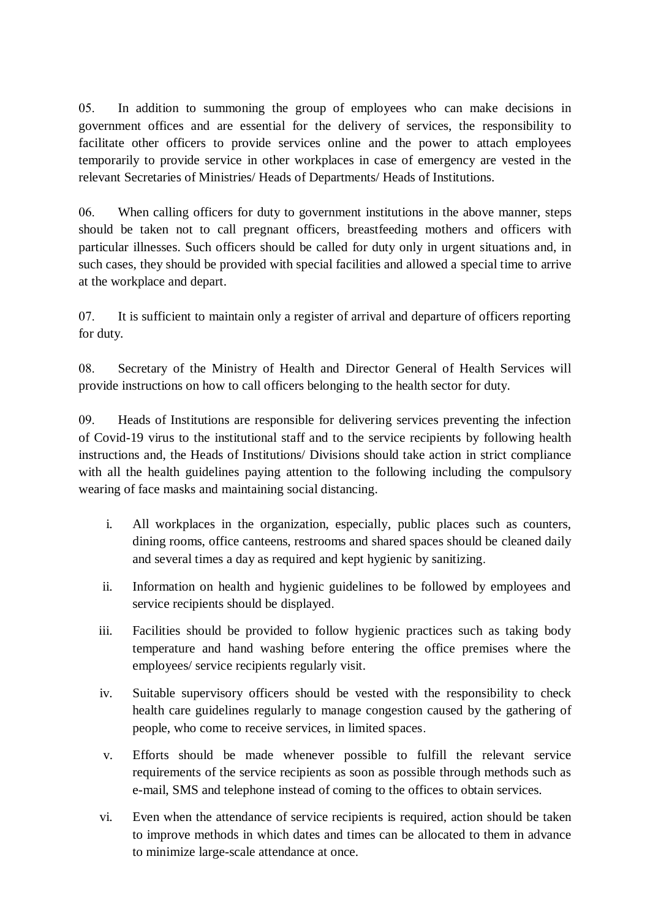05. In addition to summoning the group of employees who can make decisions in government offices and are essential for the delivery of services, the responsibility to facilitate other officers to provide services online and the power to attach employees temporarily to provide service in other workplaces in case of emergency are vested in the relevant Secretaries of Ministries/ Heads of Departments/ Heads of Institutions.

06. When calling officers for duty to government institutions in the above manner, steps should be taken not to call pregnant officers, breastfeeding mothers and officers with particular illnesses. Such officers should be called for duty only in urgent situations and, in such cases, they should be provided with special facilities and allowed a special time to arrive at the workplace and depart.

07. It is sufficient to maintain only a register of arrival and departure of officers reporting for duty.

08. Secretary of the Ministry of Health and Director General of Health Services will provide instructions on how to call officers belonging to the health sector for duty.

09. Heads of Institutions are responsible for delivering services preventing the infection of Covid-19 virus to the institutional staff and to the service recipients by following health instructions and, the Heads of Institutions/ Divisions should take action in strict compliance with all the health guidelines paying attention to the following including the compulsory wearing of face masks and maintaining social distancing.

- i. All workplaces in the organization, especially, public places such as counters, dining rooms, office canteens, restrooms and shared spaces should be cleaned daily and several times a day as required and kept hygienic by sanitizing.
- ii. Information on health and hygienic guidelines to be followed by employees and service recipients should be displayed.
- iii. Facilities should be provided to follow hygienic practices such as taking body temperature and hand washing before entering the office premises where the employees/ service recipients regularly visit.
- iv. Suitable supervisory officers should be vested with the responsibility to check health care guidelines regularly to manage congestion caused by the gathering of people, who come to receive services, in limited spaces.
- v. Efforts should be made whenever possible to fulfill the relevant service requirements of the service recipients as soon as possible through methods such as e-mail, SMS and telephone instead of coming to the offices to obtain services.
- vi. Even when the attendance of service recipients is required, action should be taken to improve methods in which dates and times can be allocated to them in advance to minimize large-scale attendance at once.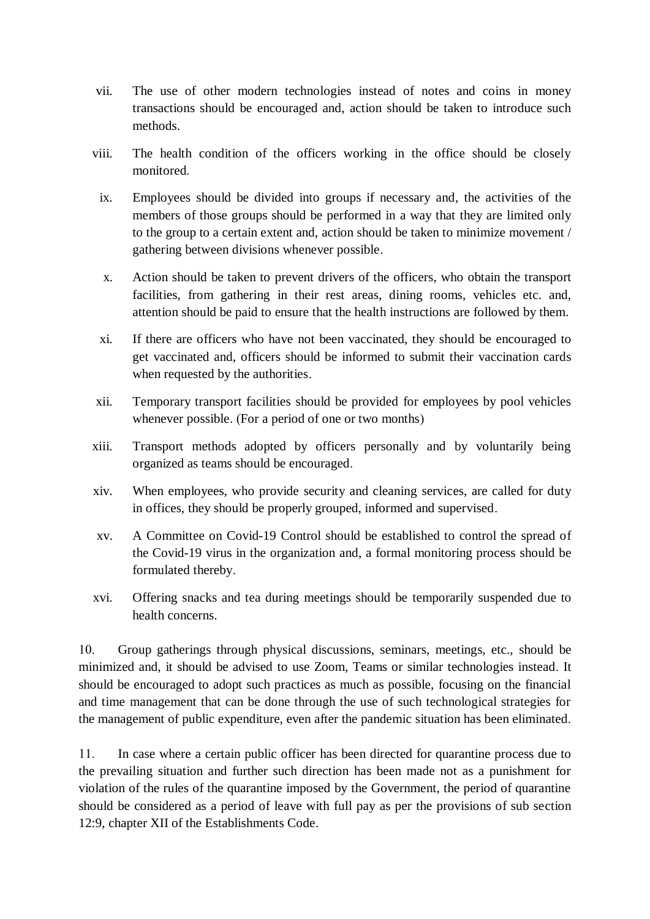- vii. The use of other modern technologies instead of notes and coins in money transactions should be encouraged and, action should be taken to introduce such methods.
- viii. The health condition of the officers working in the office should be closely monitored.
	- ix. Employees should be divided into groups if necessary and, the activities of the members of those groups should be performed in a way that they are limited only to the group to a certain extent and, action should be taken to minimize movement / gathering between divisions whenever possible.
	- x. Action should be taken to prevent drivers of the officers, who obtain the transport facilities, from gathering in their rest areas, dining rooms, vehicles etc. and, attention should be paid to ensure that the health instructions are followed by them.
	- xi. If there are officers who have not been vaccinated, they should be encouraged to get vaccinated and, officers should be informed to submit their vaccination cards when requested by the authorities.
- xii. Temporary transport facilities should be provided for employees by pool vehicles whenever possible. (For a period of one or two months)
- xiii. Transport methods adopted by officers personally and by voluntarily being organized as teams should be encouraged.
- xiv. When employees, who provide security and cleaning services, are called for duty in offices, they should be properly grouped, informed and supervised.
- xv. A Committee on Covid-19 Control should be established to control the spread of the Covid-19 virus in the organization and, a formal monitoring process should be formulated thereby.
- xvi. Offering snacks and tea during meetings should be temporarily suspended due to health concerns.

10. Group gatherings through physical discussions, seminars, meetings, etc., should be minimized and, it should be advised to use Zoom, Teams or similar technologies instead. It should be encouraged to adopt such practices as much as possible, focusing on the financial and time management that can be done through the use of such technological strategies for the management of public expenditure, even after the pandemic situation has been eliminated.

11. In case where a certain public officer has been directed for quarantine process due to the prevailing situation and further such direction has been made not as a punishment for violation of the rules of the quarantine imposed by the Government, the period of quarantine should be considered as a period of leave with full pay as per the provisions of sub section 12:9, chapter XII of the Establishments Code.